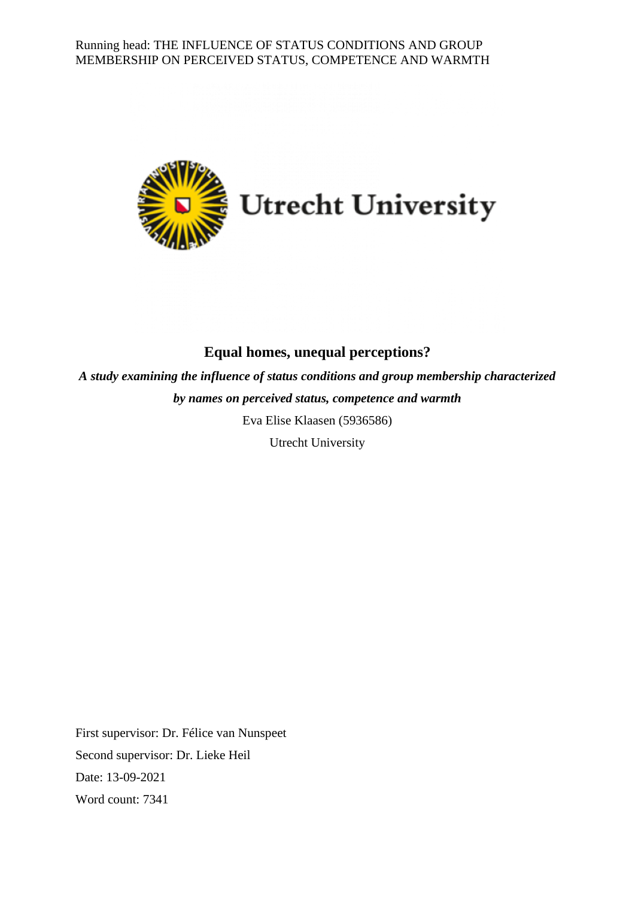

# **Equal homes, unequal perceptions?**

*A study examining the influence of status conditions and group membership characterized by names on perceived status, competence and warmth* Eva Elise Klaasen (5936586)

Utrecht University

First supervisor: Dr. Félice van Nunspeet Second supervisor: Dr. Lieke Heil Date: 13-09-2021 Word count: 7341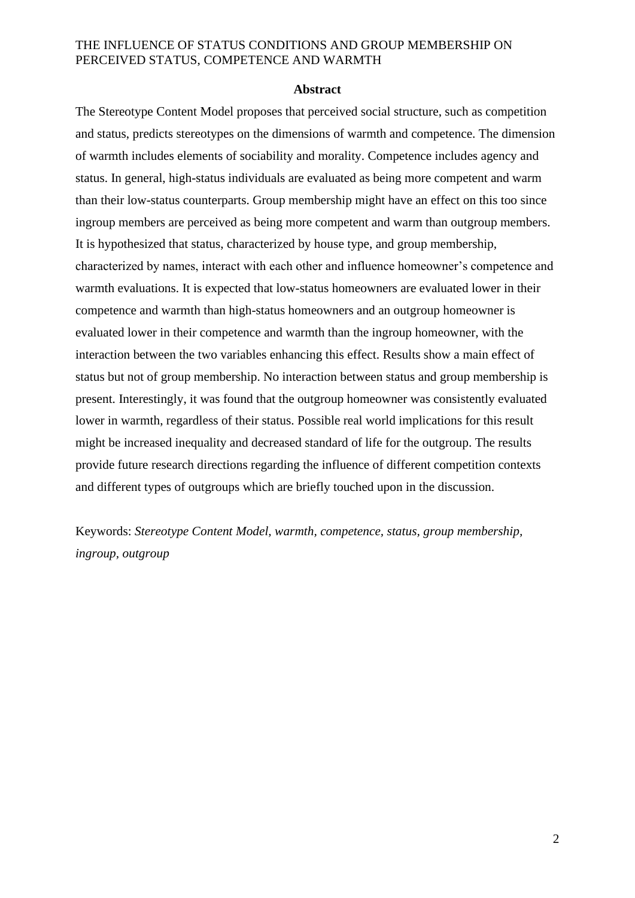#### **Abstract**

The Stereotype Content Model proposes that perceived social structure, such as competition and status, predicts stereotypes on the dimensions of warmth and competence. The dimension of warmth includes elements of sociability and morality. Competence includes agency and status. In general, high-status individuals are evaluated as being more competent and warm than their low-status counterparts. Group membership might have an effect on this too since ingroup members are perceived as being more competent and warm than outgroup members. It is hypothesized that status, characterized by house type, and group membership, characterized by names, interact with each other and influence homeowner's competence and warmth evaluations. It is expected that low-status homeowners are evaluated lower in their competence and warmth than high-status homeowners and an outgroup homeowner is evaluated lower in their competence and warmth than the ingroup homeowner, with the interaction between the two variables enhancing this effect. Results show a main effect of status but not of group membership. No interaction between status and group membership is present. Interestingly, it was found that the outgroup homeowner was consistently evaluated lower in warmth, regardless of their status. Possible real world implications for this result might be increased inequality and decreased standard of life for the outgroup. The results provide future research directions regarding the influence of different competition contexts and different types of outgroups which are briefly touched upon in the discussion.

Keywords: *Stereotype Content Model, warmth, competence, status, group membership, ingroup, outgroup*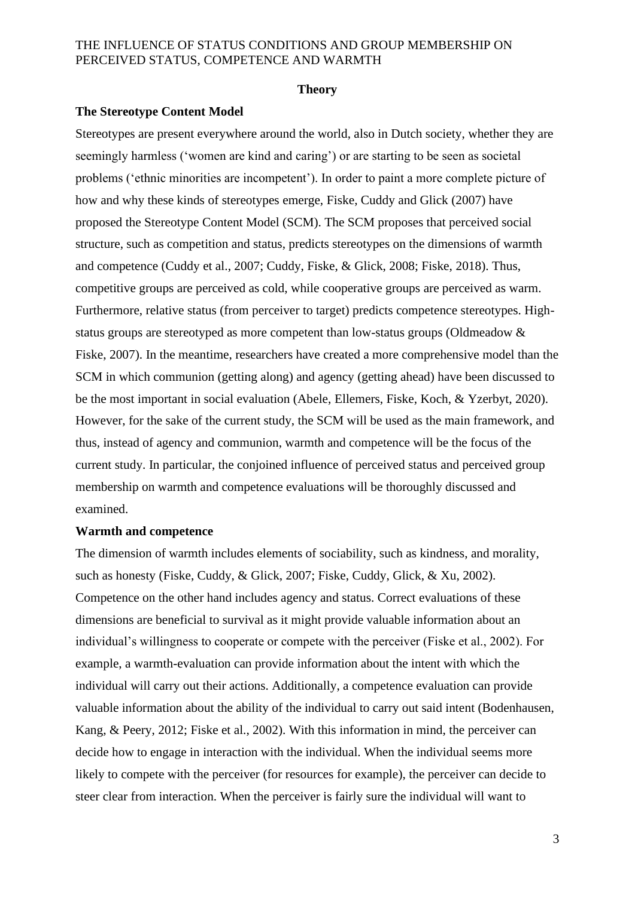#### **Theory**

#### **The Stereotype Content Model**

Stereotypes are present everywhere around the world, also in Dutch society, whether they are seemingly harmless ('women are kind and caring') or are starting to be seen as societal problems ('ethnic minorities are incompetent'). In order to paint a more complete picture of how and why these kinds of stereotypes emerge, Fiske, Cuddy and Glick (2007) have proposed the Stereotype Content Model (SCM). The SCM proposes that perceived social structure, such as competition and status, predicts stereotypes on the dimensions of warmth and competence (Cuddy et al., 2007; Cuddy, Fiske, & Glick, 2008; Fiske, 2018). Thus, competitive groups are perceived as cold, while cooperative groups are perceived as warm. Furthermore, relative status (from perceiver to target) predicts competence stereotypes. Highstatus groups are stereotyped as more competent than low-status groups (Oldmeadow & Fiske, 2007). In the meantime, researchers have created a more comprehensive model than the SCM in which communion (getting along) and agency (getting ahead) have been discussed to be the most important in social evaluation (Abele, Ellemers, Fiske, Koch, & Yzerbyt, 2020). However, for the sake of the current study, the SCM will be used as the main framework, and thus, instead of agency and communion, warmth and competence will be the focus of the current study. In particular, the conjoined influence of perceived status and perceived group membership on warmth and competence evaluations will be thoroughly discussed and examined.

#### **Warmth and competence**

The dimension of warmth includes elements of sociability, such as kindness, and morality, such as honesty (Fiske, Cuddy, & Glick, 2007; Fiske, Cuddy, Glick, & Xu, 2002). Competence on the other hand includes agency and status. Correct evaluations of these dimensions are beneficial to survival as it might provide valuable information about an individual's willingness to cooperate or compete with the perceiver (Fiske et al., 2002). For example, a warmth-evaluation can provide information about the intent with which the individual will carry out their actions. Additionally, a competence evaluation can provide valuable information about the ability of the individual to carry out said intent (Bodenhausen, Kang, & Peery, 2012; Fiske et al., 2002). With this information in mind, the perceiver can decide how to engage in interaction with the individual. When the individual seems more likely to compete with the perceiver (for resources for example), the perceiver can decide to steer clear from interaction. When the perceiver is fairly sure the individual will want to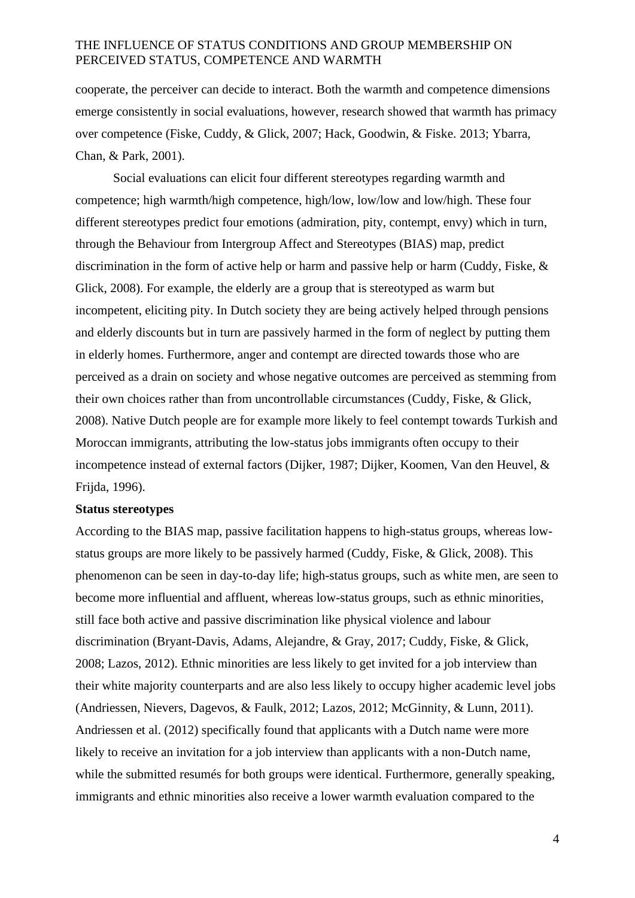cooperate, the perceiver can decide to interact. Both the warmth and competence dimensions emerge consistently in social evaluations, however, research showed that warmth has primacy over competence (Fiske, Cuddy, & Glick, 2007; Hack, Goodwin, & Fiske. 2013; Ybarra, Chan, & Park, 2001).

Social evaluations can elicit four different stereotypes regarding warmth and competence; high warmth/high competence, high/low, low/low and low/high. These four different stereotypes predict four emotions (admiration, pity, contempt, envy) which in turn, through the Behaviour from Intergroup Affect and Stereotypes (BIAS) map, predict discrimination in the form of active help or harm and passive help or harm (Cuddy, Fiske, & Glick, 2008). For example, the elderly are a group that is stereotyped as warm but incompetent, eliciting pity. In Dutch society they are being actively helped through pensions and elderly discounts but in turn are passively harmed in the form of neglect by putting them in elderly homes. Furthermore, anger and contempt are directed towards those who are perceived as a drain on society and whose negative outcomes are perceived as stemming from their own choices rather than from uncontrollable circumstances (Cuddy, Fiske, & Glick, 2008). Native Dutch people are for example more likely to feel contempt towards Turkish and Moroccan immigrants, attributing the low-status jobs immigrants often occupy to their incompetence instead of external factors (Dijker, 1987; Dijker, Koomen, Van den Heuvel, & Frijda, 1996).

#### **Status stereotypes**

According to the BIAS map, passive facilitation happens to high-status groups, whereas lowstatus groups are more likely to be passively harmed (Cuddy, Fiske, & Glick, 2008). This phenomenon can be seen in day-to-day life; high-status groups, such as white men, are seen to become more influential and affluent, whereas low-status groups, such as ethnic minorities, still face both active and passive discrimination like physical violence and labour discrimination (Bryant-Davis, Adams, Alejandre, & Gray, 2017; Cuddy, Fiske, & Glick, 2008; Lazos, 2012). Ethnic minorities are less likely to get invited for a job interview than their white majority counterparts and are also less likely to occupy higher academic level jobs (Andriessen, Nievers, Dagevos, & Faulk, 2012; Lazos, 2012; McGinnity, & Lunn, 2011). Andriessen et al. (2012) specifically found that applicants with a Dutch name were more likely to receive an invitation for a job interview than applicants with a non-Dutch name, while the submitted resumés for both groups were identical. Furthermore, generally speaking, immigrants and ethnic minorities also receive a lower warmth evaluation compared to the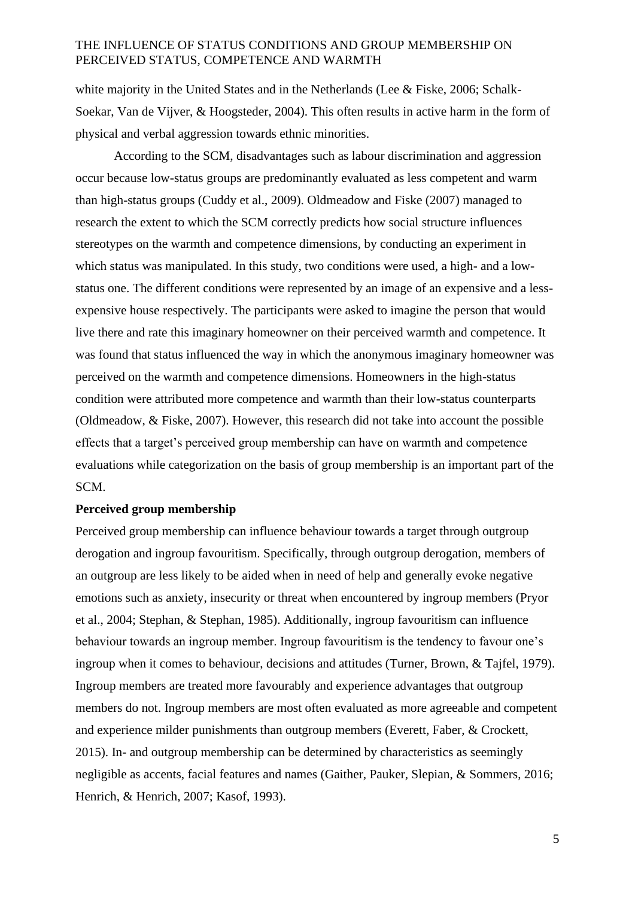white majority in the United States and in the Netherlands (Lee & Fiske, 2006; Schalk-Soekar, Van de Vijver, & Hoogsteder, 2004). This often results in active harm in the form of physical and verbal aggression towards ethnic minorities.

According to the SCM, disadvantages such as labour discrimination and aggression occur because low-status groups are predominantly evaluated as less competent and warm than high-status groups (Cuddy et al., 2009). Oldmeadow and Fiske (2007) managed to research the extent to which the SCM correctly predicts how social structure influences stereotypes on the warmth and competence dimensions, by conducting an experiment in which status was manipulated. In this study, two conditions were used, a high- and a lowstatus one. The different conditions were represented by an image of an expensive and a lessexpensive house respectively. The participants were asked to imagine the person that would live there and rate this imaginary homeowner on their perceived warmth and competence. It was found that status influenced the way in which the anonymous imaginary homeowner was perceived on the warmth and competence dimensions. Homeowners in the high-status condition were attributed more competence and warmth than their low-status counterparts (Oldmeadow, & Fiske, 2007). However, this research did not take into account the possible effects that a target's perceived group membership can have on warmth and competence evaluations while categorization on the basis of group membership is an important part of the SCM.

#### **Perceived group membership**

Perceived group membership can influence behaviour towards a target through outgroup derogation and ingroup favouritism. Specifically, through outgroup derogation, members of an outgroup are less likely to be aided when in need of help and generally evoke negative emotions such as anxiety, insecurity or threat when encountered by ingroup members (Pryor et al., 2004; Stephan, & Stephan, 1985). Additionally, ingroup favouritism can influence behaviour towards an ingroup member. Ingroup favouritism is the tendency to favour one's ingroup when it comes to behaviour, decisions and attitudes (Turner, Brown, & Tajfel, 1979). Ingroup members are treated more favourably and experience advantages that outgroup members do not. Ingroup members are most often evaluated as more agreeable and competent and experience milder punishments than outgroup members (Everett, Faber, & Crockett, 2015). In- and outgroup membership can be determined by characteristics as seemingly negligible as accents, facial features and names (Gaither, Pauker, Slepian, & Sommers, 2016; Henrich, & Henrich, 2007; Kasof, 1993).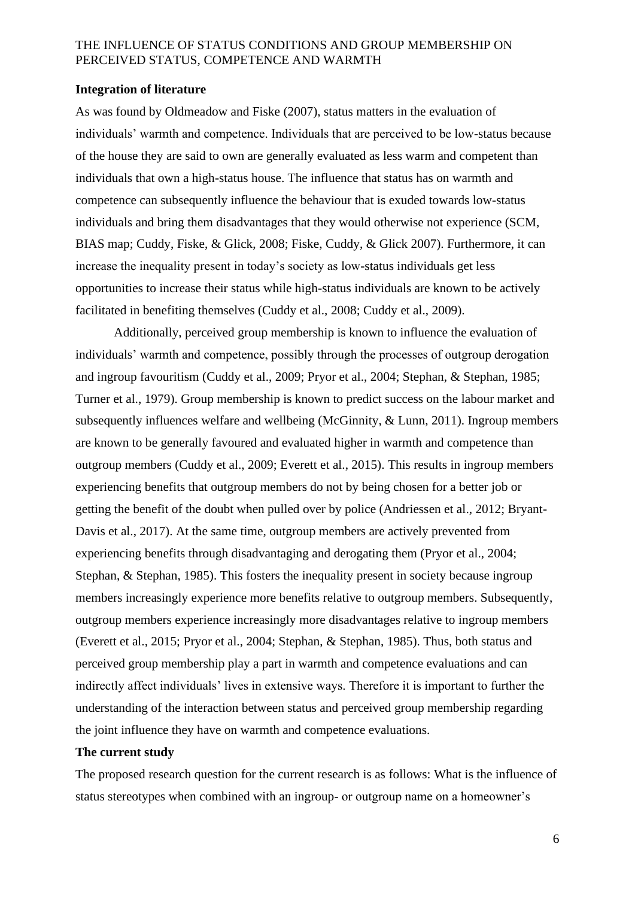#### **Integration of literature**

As was found by Oldmeadow and Fiske (2007), status matters in the evaluation of individuals' warmth and competence. Individuals that are perceived to be low-status because of the house they are said to own are generally evaluated as less warm and competent than individuals that own a high-status house. The influence that status has on warmth and competence can subsequently influence the behaviour that is exuded towards low-status individuals and bring them disadvantages that they would otherwise not experience (SCM, BIAS map; Cuddy, Fiske, & Glick, 2008; Fiske, Cuddy, & Glick 2007). Furthermore, it can increase the inequality present in today's society as low-status individuals get less opportunities to increase their status while high-status individuals are known to be actively facilitated in benefiting themselves (Cuddy et al., 2008; Cuddy et al., 2009).

Additionally, perceived group membership is known to influence the evaluation of individuals' warmth and competence, possibly through the processes of outgroup derogation and ingroup favouritism (Cuddy et al., 2009; Pryor et al., 2004; Stephan, & Stephan, 1985; Turner et al., 1979). Group membership is known to predict success on the labour market and subsequently influences welfare and wellbeing (McGinnity, & Lunn, 2011). Ingroup members are known to be generally favoured and evaluated higher in warmth and competence than outgroup members (Cuddy et al., 2009; Everett et al., 2015). This results in ingroup members experiencing benefits that outgroup members do not by being chosen for a better job or getting the benefit of the doubt when pulled over by police (Andriessen et al., 2012; Bryant-Davis et al., 2017). At the same time, outgroup members are actively prevented from experiencing benefits through disadvantaging and derogating them (Pryor et al., 2004; Stephan, & Stephan, 1985). This fosters the inequality present in society because ingroup members increasingly experience more benefits relative to outgroup members. Subsequently, outgroup members experience increasingly more disadvantages relative to ingroup members (Everett et al., 2015; Pryor et al., 2004; Stephan, & Stephan, 1985). Thus, both status and perceived group membership play a part in warmth and competence evaluations and can indirectly affect individuals' lives in extensive ways. Therefore it is important to further the understanding of the interaction between status and perceived group membership regarding the joint influence they have on warmth and competence evaluations.

# **The current study**

The proposed research question for the current research is as follows: What is the influence of status stereotypes when combined with an ingroup- or outgroup name on a homeowner's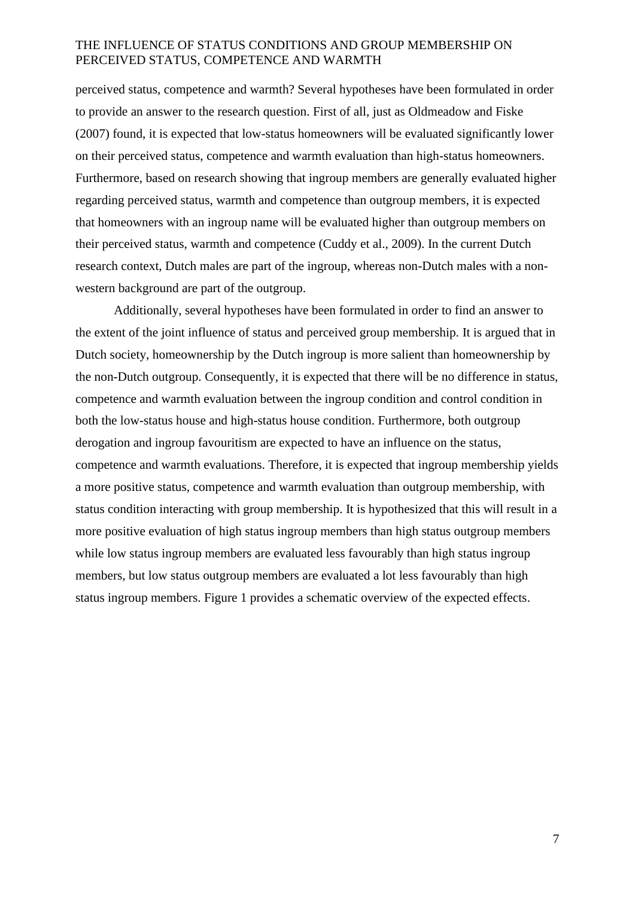perceived status, competence and warmth? Several hypotheses have been formulated in order to provide an answer to the research question. First of all, just as Oldmeadow and Fiske (2007) found, it is expected that low-status homeowners will be evaluated significantly lower on their perceived status, competence and warmth evaluation than high-status homeowners. Furthermore, based on research showing that ingroup members are generally evaluated higher regarding perceived status, warmth and competence than outgroup members, it is expected that homeowners with an ingroup name will be evaluated higher than outgroup members on their perceived status, warmth and competence (Cuddy et al., 2009). In the current Dutch research context, Dutch males are part of the ingroup, whereas non-Dutch males with a nonwestern background are part of the outgroup.

Additionally, several hypotheses have been formulated in order to find an answer to the extent of the joint influence of status and perceived group membership. It is argued that in Dutch society, homeownership by the Dutch ingroup is more salient than homeownership by the non-Dutch outgroup. Consequently, it is expected that there will be no difference in status, competence and warmth evaluation between the ingroup condition and control condition in both the low-status house and high-status house condition. Furthermore, both outgroup derogation and ingroup favouritism are expected to have an influence on the status, competence and warmth evaluations. Therefore, it is expected that ingroup membership yields a more positive status, competence and warmth evaluation than outgroup membership, with status condition interacting with group membership. It is hypothesized that this will result in a more positive evaluation of high status ingroup members than high status outgroup members while low status ingroup members are evaluated less favourably than high status ingroup members, but low status outgroup members are evaluated a lot less favourably than high status ingroup members. Figure 1 provides a schematic overview of the expected effects.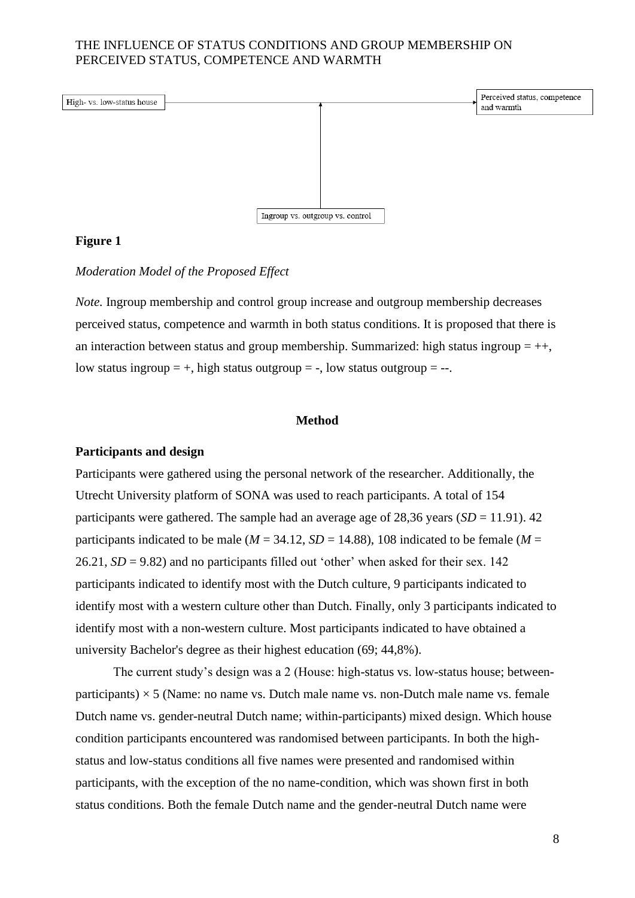

#### **Figure 1**

#### *Moderation Model of the Proposed Effect*

*Note*. Ingroup membership and control group increase and outgroup membership decreases perceived status, competence and warmth in both status conditions. It is proposed that there is an interaction between status and group membership. Summarized: high status ingroup  $= ++$ , low status ingroup  $= +$ , high status outgroup  $= -$ , low status outgroup  $= -$ .

#### **Method**

#### **Participants and design**

Participants were gathered using the personal network of the researcher. Additionally, the Utrecht University platform of SONA was used to reach participants. A total of 154 participants were gathered. The sample had an average age of  $28,36$  years  $(SD = 11.91)$ . 42 participants indicated to be male ( $M = 34.12$ ,  $SD = 14.88$ ), 108 indicated to be female ( $M =$ 26.21,  $SD = 9.82$ ) and no participants filled out 'other' when asked for their sex. 142 participants indicated to identify most with the Dutch culture, 9 participants indicated to identify most with a western culture other than Dutch. Finally, only 3 participants indicated to identify most with a non-western culture. Most participants indicated to have obtained a university Bachelor's degree as their highest education (69; 44,8%).

The current study's design was a 2 (House: high-status vs. low-status house; betweenparticipants)  $\times$  5 (Name: no name vs. Dutch male name vs. non-Dutch male name vs. female Dutch name vs. gender-neutral Dutch name; within-participants) mixed design. Which house condition participants encountered was randomised between participants. In both the highstatus and low-status conditions all five names were presented and randomised within participants, with the exception of the no name-condition, which was shown first in both status conditions. Both the female Dutch name and the gender-neutral Dutch name were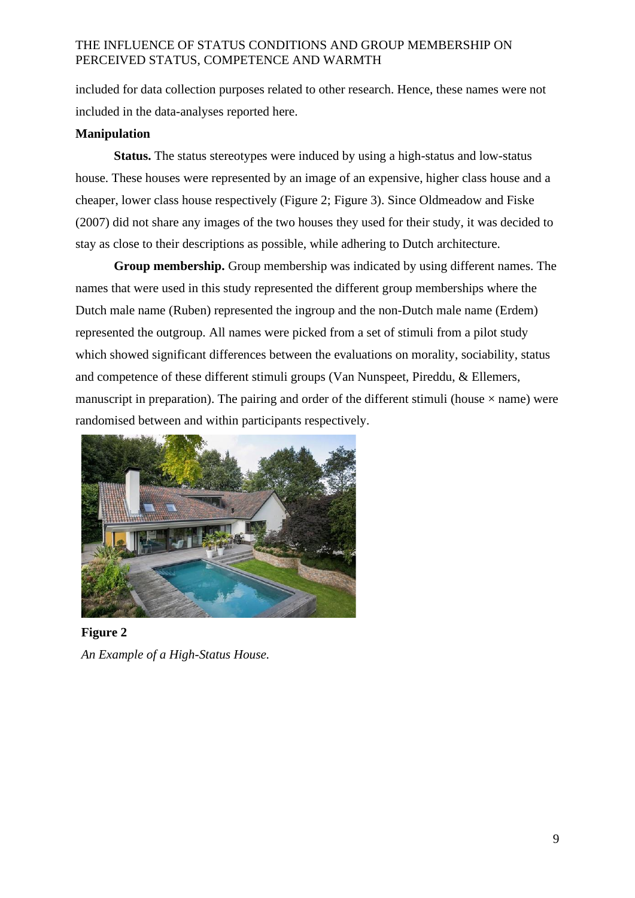included for data collection purposes related to other research. Hence, these names were not included in the data-analyses reported here.

# **Manipulation**

**Status.** The status stereotypes were induced by using a high-status and low-status house. These houses were represented by an image of an expensive, higher class house and a cheaper, lower class house respectively (Figure 2; Figure 3). Since Oldmeadow and Fiske (2007) did not share any images of the two houses they used for their study, it was decided to stay as close to their descriptions as possible, while adhering to Dutch architecture.

**Group membership.** Group membership was indicated by using different names. The names that were used in this study represented the different group memberships where the Dutch male name (Ruben) represented the ingroup and the non-Dutch male name (Erdem) represented the outgroup. All names were picked from a set of stimuli from a pilot study which showed significant differences between the evaluations on morality, sociability, status and competence of these different stimuli groups (Van Nunspeet, Pireddu, & Ellemers, manuscript in preparation). The pairing and order of the different stimuli (house  $\times$  name) were randomised between and within participants respectively.



**Figure 2** *An Example of a High-Status House.*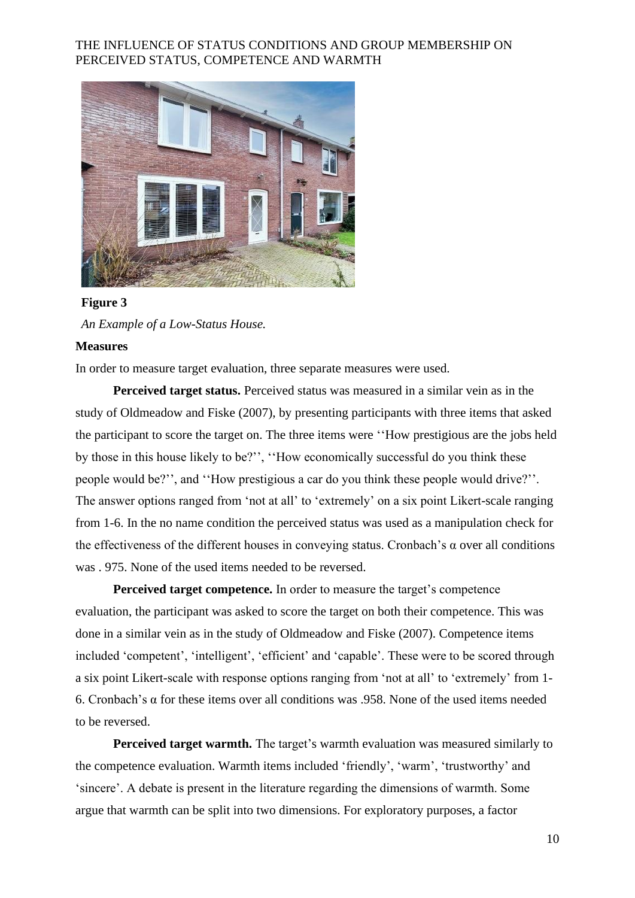

### **Figure 3**

*An Example of a Low-Status House.*

#### **Measures**

In order to measure target evaluation, three separate measures were used.

**Perceived target status.** Perceived status was measured in a similar vein as in the study of Oldmeadow and Fiske (2007), by presenting participants with three items that asked the participant to score the target on. The three items were ''How prestigious are the jobs held by those in this house likely to be?'', ''How economically successful do you think these people would be?'', and ''How prestigious a car do you think these people would drive?''. The answer options ranged from 'not at all' to 'extremely' on a six point Likert-scale ranging from 1-6. In the no name condition the perceived status was used as a manipulation check for the effectiveness of the different houses in conveying status. Cronbach's  $\alpha$  over all conditions was . 975. None of the used items needed to be reversed.

**Perceived target competence.** In order to measure the target's competence evaluation, the participant was asked to score the target on both their competence. This was done in a similar vein as in the study of Oldmeadow and Fiske (2007). Competence items included 'competent', 'intelligent', 'efficient' and 'capable'. These were to be scored through a six point Likert-scale with response options ranging from 'not at all' to 'extremely' from 1- 6. Cronbach's α for these items over all conditions was .958. None of the used items needed to be reversed.

**Perceived target warmth.** The target's warmth evaluation was measured similarly to the competence evaluation. Warmth items included 'friendly', 'warm', 'trustworthy' and 'sincere'. A debate is present in the literature regarding the dimensions of warmth. Some argue that warmth can be split into two dimensions. For exploratory purposes, a factor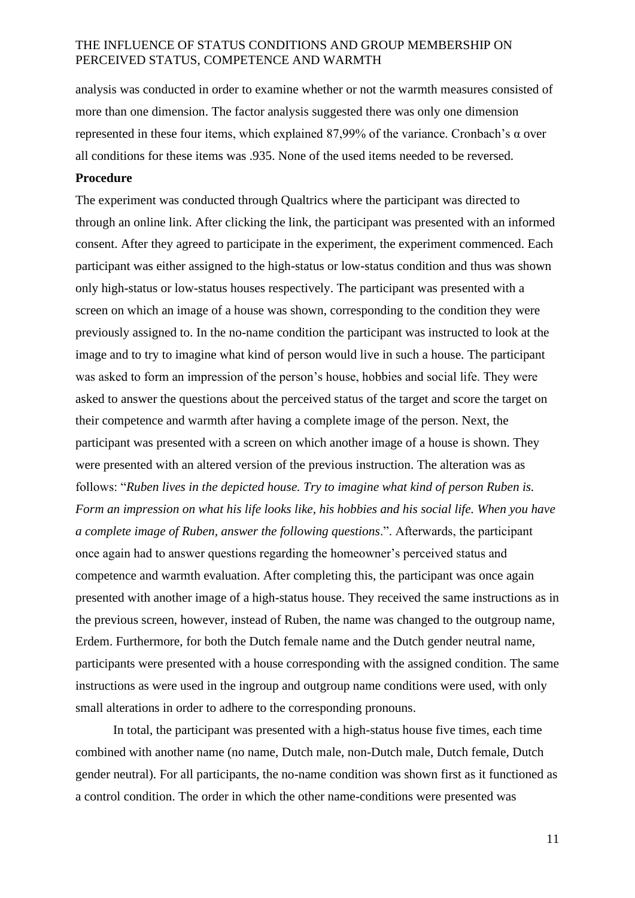analysis was conducted in order to examine whether or not the warmth measures consisted of more than one dimension. The factor analysis suggested there was only one dimension represented in these four items, which explained 87,99% of the variance. Cronbach's α over all conditions for these items was .935. None of the used items needed to be reversed.

#### **Procedure**

The experiment was conducted through Qualtrics where the participant was directed to through an online link. After clicking the link, the participant was presented with an informed consent. After they agreed to participate in the experiment, the experiment commenced. Each participant was either assigned to the high-status or low-status condition and thus was shown only high-status or low-status houses respectively. The participant was presented with a screen on which an image of a house was shown, corresponding to the condition they were previously assigned to. In the no-name condition the participant was instructed to look at the image and to try to imagine what kind of person would live in such a house. The participant was asked to form an impression of the person's house, hobbies and social life. They were asked to answer the questions about the perceived status of the target and score the target on their competence and warmth after having a complete image of the person. Next, the participant was presented with a screen on which another image of a house is shown. They were presented with an altered version of the previous instruction. The alteration was as follows: "*Ruben lives in the depicted house. Try to imagine what kind of person Ruben is. Form an impression on what his life looks like, his hobbies and his social life. When you have a complete image of Ruben, answer the following questions*.". Afterwards, the participant once again had to answer questions regarding the homeowner's perceived status and competence and warmth evaluation. After completing this, the participant was once again presented with another image of a high-status house. They received the same instructions as in the previous screen, however, instead of Ruben, the name was changed to the outgroup name, Erdem. Furthermore, for both the Dutch female name and the Dutch gender neutral name, participants were presented with a house corresponding with the assigned condition. The same instructions as were used in the ingroup and outgroup name conditions were used, with only small alterations in order to adhere to the corresponding pronouns.

In total, the participant was presented with a high-status house five times, each time combined with another name (no name, Dutch male, non-Dutch male, Dutch female, Dutch gender neutral). For all participants, the no-name condition was shown first as it functioned as a control condition. The order in which the other name-conditions were presented was

11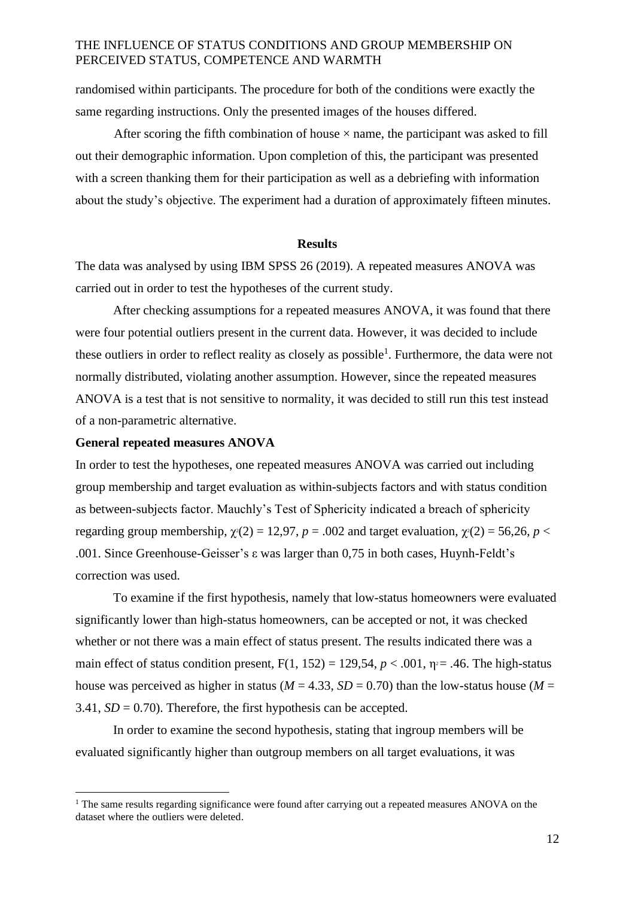randomised within participants. The procedure for both of the conditions were exactly the same regarding instructions. Only the presented images of the houses differed.

After scoring the fifth combination of house  $\times$  name, the participant was asked to fill out their demographic information. Upon completion of this, the participant was presented with a screen thanking them for their participation as well as a debriefing with information about the study's objective. The experiment had a duration of approximately fifteen minutes.

#### **Results**

The data was analysed by using IBM SPSS 26 (2019). A repeated measures ANOVA was carried out in order to test the hypotheses of the current study.

After checking assumptions for a repeated measures ANOVA, it was found that there were four potential outliers present in the current data. However, it was decided to include these outliers in order to reflect reality as closely as possible<sup>1</sup>. Furthermore, the data were not normally distributed, violating another assumption. However, since the repeated measures ANOVA is a test that is not sensitive to normality, it was decided to still run this test instead of a non-parametric alternative.

#### **General repeated measures ANOVA**

In order to test the hypotheses, one repeated measures ANOVA was carried out including group membership and target evaluation as within-subjects factors and with status condition as between-subjects factor. Mauchly's Test of Sphericity indicated a breach of sphericity regarding group membership,  $\gamma$ <sup>2</sup>(2) = 12,97, *p* = .002 and target evaluation,  $\gamma$ <sup>2</sup>(2) = 56,26, *p* < .001. Since Greenhouse-Geisser's ε was larger than 0,75 in both cases, Huynh-Feldt's correction was used.

To examine if the first hypothesis, namely that low-status homeowners were evaluated significantly lower than high-status homeowners, can be accepted or not, it was checked whether or not there was a main effect of status present. The results indicated there was a main effect of status condition present,  $F(1, 152) = 129.54$ ,  $p < .001$ ,  $p = .46$ . The high-status house was perceived as higher in status ( $M = 4.33$ ,  $SD = 0.70$ ) than the low-status house ( $M =$ 3.41,  $SD = 0.70$ ). Therefore, the first hypothesis can be accepted.

In order to examine the second hypothesis, stating that ingroup members will be evaluated significantly higher than outgroup members on all target evaluations, it was

 $1$  The same results regarding significance were found after carrying out a repeated measures ANOVA on the dataset where the outliers were deleted.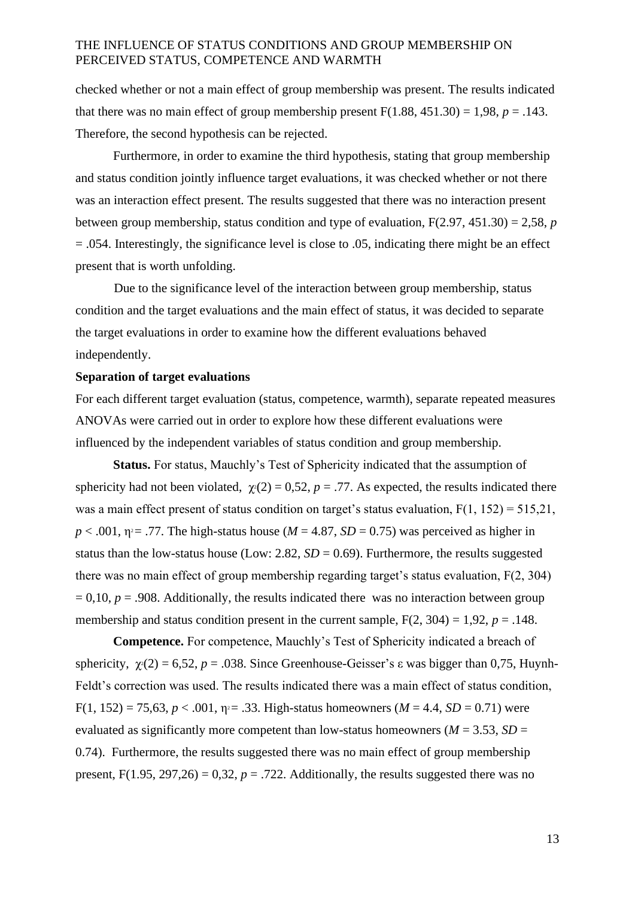checked whether or not a main effect of group membership was present. The results indicated that there was no main effect of group membership present  $F(1.88, 451.30) = 1.98$ ,  $p = .143$ . Therefore, the second hypothesis can be rejected.

Furthermore, in order to examine the third hypothesis, stating that group membership and status condition jointly influence target evaluations, it was checked whether or not there was an interaction effect present. The results suggested that there was no interaction present between group membership, status condition and type of evaluation, F(2.97, 451.30) = 2,58, *p*  = .054. Interestingly, the significance level is close to .05, indicating there might be an effect present that is worth unfolding.

Due to the significance level of the interaction between group membership, status condition and the target evaluations and the main effect of status, it was decided to separate the target evaluations in order to examine how the different evaluations behaved independently.

#### **Separation of target evaluations**

For each different target evaluation (status, competence, warmth), separate repeated measures ANOVAs were carried out in order to explore how these different evaluations were influenced by the independent variables of status condition and group membership.

**Status.** For status, Mauchly's Test of Sphericity indicated that the assumption of sphericity had not been violated,  $\gamma(2) = 0.52$ ,  $p = .77$ . As expected, the results indicated there was a main effect present of status condition on target's status evaluation,  $F(1, 152) = 515,21$ ,  $p < .001$ ,  $p = .77$ . The high-status house ( $M = 4.87$ ,  $SD = 0.75$ ) was perceived as higher in status than the low-status house (Low: 2.82,  $SD = 0.69$ ). Furthermore, the results suggested there was no main effect of group membership regarding target's status evaluation, F(2, 304)  $= 0.10$ ,  $p = .908$ . Additionally, the results indicated there was no interaction between group membership and status condition present in the current sample,  $F(2, 304) = 1.92$ ,  $p = .148$ .

**Competence.** For competence, Mauchly's Test of Sphericity indicated a breach of sphericity,  $\gamma(2) = 6,52$ ,  $p = .038$ . Since Greenhouse-Geisser's  $\varepsilon$  was bigger than 0,75, Huynh-Feldt's correction was used. The results indicated there was a main effect of status condition,  $F(1, 152) = 75,63, p < .001, \eta = .33$ . High-status homeowners ( $M = 4.4, SD = 0.71$ ) were evaluated as significantly more competent than low-status homeowners ( $M = 3.53$ ,  $SD =$ 0.74). Furthermore, the results suggested there was no main effect of group membership present,  $F(1.95, 297, 26) = 0.32$ ,  $p = .722$ . Additionally, the results suggested there was no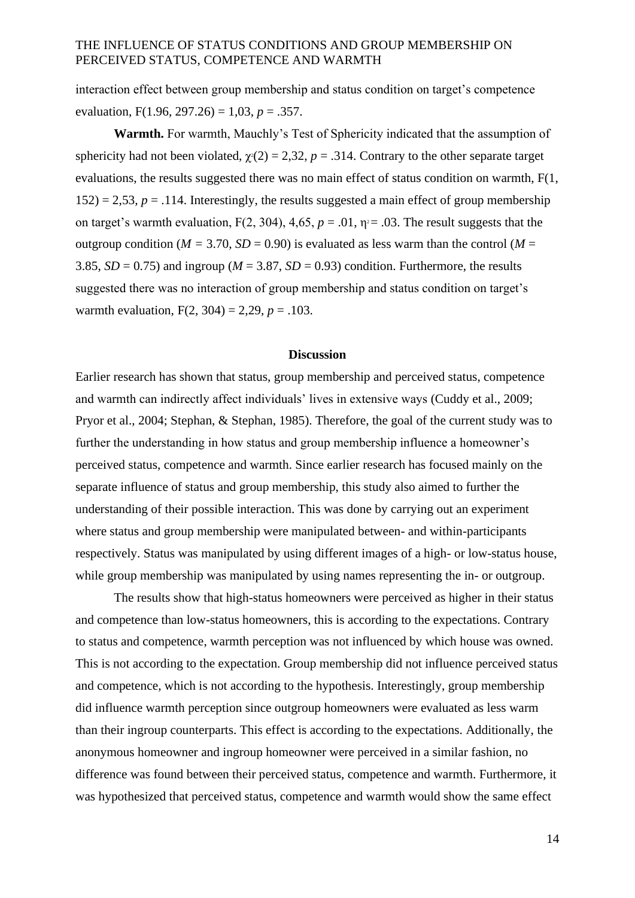interaction effect between group membership and status condition on target's competence evaluation,  $F(1.96, 297.26) = 1.03$ ,  $p = .357$ .

**Warmth.** For warmth, Mauchly's Test of Sphericity indicated that the assumption of sphericity had not been violated,  $\gamma$ <sup>2</sup>(2) = 2,32, *p* = .314. Contrary to the other separate target evaluations, the results suggested there was no main effect of status condition on warmth, F(1,  $152$ ) = 2,53,  $p = .114$ . Interestingly, the results suggested a main effect of group membership on target's warmth evaluation,  $F(2, 304)$ ,  $4,65$ ,  $p = .01$ ,  $\eta = .03$ . The result suggests that the outgroup condition ( $M = 3.70$ ,  $SD = 0.90$ ) is evaluated as less warm than the control ( $M =$ 3.85,  $SD = 0.75$ ) and ingroup ( $M = 3.87$ ,  $SD = 0.93$ ) condition. Furthermore, the results suggested there was no interaction of group membership and status condition on target's warmth evaluation,  $F(2, 304) = 2,29, p = .103$ .

#### **Discussion**

Earlier research has shown that status, group membership and perceived status, competence and warmth can indirectly affect individuals' lives in extensive ways (Cuddy et al., 2009; Pryor et al., 2004; Stephan, & Stephan, 1985). Therefore, the goal of the current study was to further the understanding in how status and group membership influence a homeowner's perceived status, competence and warmth. Since earlier research has focused mainly on the separate influence of status and group membership, this study also aimed to further the understanding of their possible interaction. This was done by carrying out an experiment where status and group membership were manipulated between- and within-participants respectively. Status was manipulated by using different images of a high- or low-status house, while group membership was manipulated by using names representing the in- or outgroup.

The results show that high-status homeowners were perceived as higher in their status and competence than low-status homeowners, this is according to the expectations. Contrary to status and competence, warmth perception was not influenced by which house was owned. This is not according to the expectation. Group membership did not influence perceived status and competence, which is not according to the hypothesis. Interestingly, group membership did influence warmth perception since outgroup homeowners were evaluated as less warm than their ingroup counterparts. This effect is according to the expectations. Additionally, the anonymous homeowner and ingroup homeowner were perceived in a similar fashion, no difference was found between their perceived status, competence and warmth. Furthermore, it was hypothesized that perceived status, competence and warmth would show the same effect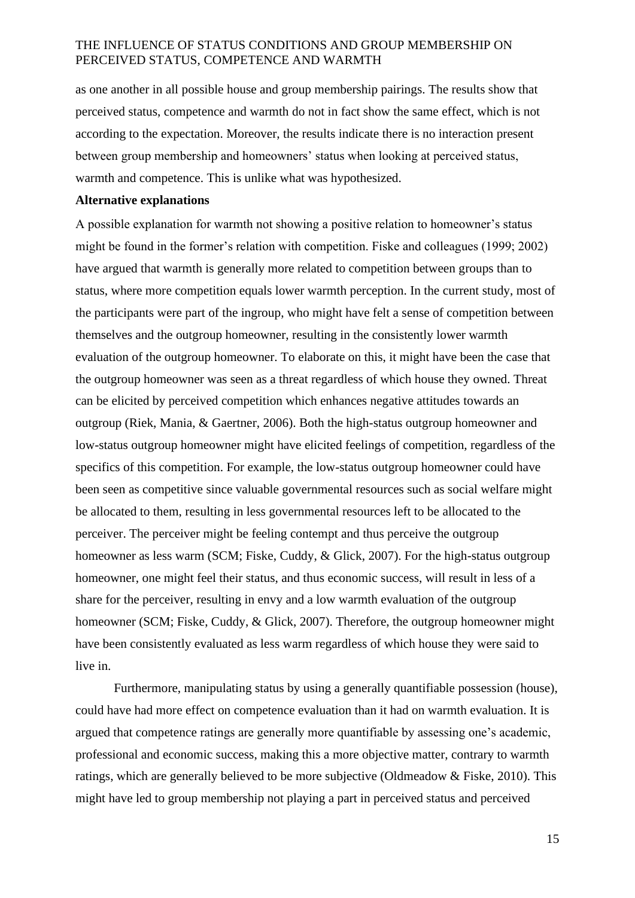as one another in all possible house and group membership pairings. The results show that perceived status, competence and warmth do not in fact show the same effect, which is not according to the expectation. Moreover, the results indicate there is no interaction present between group membership and homeowners' status when looking at perceived status, warmth and competence. This is unlike what was hypothesized.

#### **Alternative explanations**

A possible explanation for warmth not showing a positive relation to homeowner's status might be found in the former's relation with competition. Fiske and colleagues (1999; 2002) have argued that warmth is generally more related to competition between groups than to status, where more competition equals lower warmth perception. In the current study, most of the participants were part of the ingroup, who might have felt a sense of competition between themselves and the outgroup homeowner, resulting in the consistently lower warmth evaluation of the outgroup homeowner. To elaborate on this, it might have been the case that the outgroup homeowner was seen as a threat regardless of which house they owned. Threat can be elicited by perceived competition which enhances negative attitudes towards an outgroup (Riek, Mania, & Gaertner, 2006). Both the high-status outgroup homeowner and low-status outgroup homeowner might have elicited feelings of competition, regardless of the specifics of this competition. For example, the low-status outgroup homeowner could have been seen as competitive since valuable governmental resources such as social welfare might be allocated to them, resulting in less governmental resources left to be allocated to the perceiver. The perceiver might be feeling contempt and thus perceive the outgroup homeowner as less warm (SCM; Fiske, Cuddy, & Glick, 2007). For the high-status outgroup homeowner, one might feel their status, and thus economic success, will result in less of a share for the perceiver, resulting in envy and a low warmth evaluation of the outgroup homeowner (SCM; Fiske, Cuddy, & Glick, 2007). Therefore, the outgroup homeowner might have been consistently evaluated as less warm regardless of which house they were said to live in.

Furthermore, manipulating status by using a generally quantifiable possession (house), could have had more effect on competence evaluation than it had on warmth evaluation. It is argued that competence ratings are generally more quantifiable by assessing one's academic, professional and economic success, making this a more objective matter, contrary to warmth ratings, which are generally believed to be more subjective (Oldmeadow & Fiske, 2010). This might have led to group membership not playing a part in perceived status and perceived

15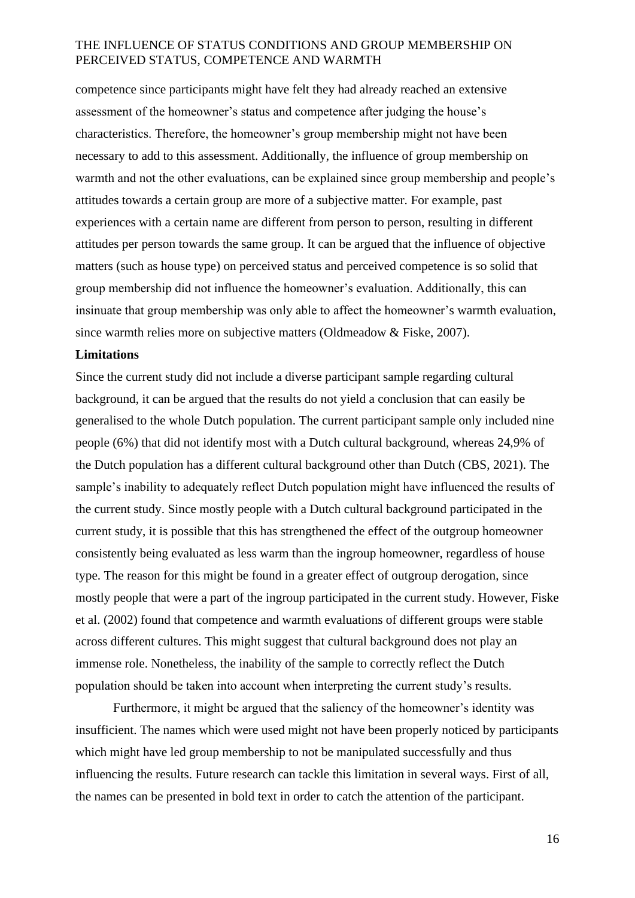competence since participants might have felt they had already reached an extensive assessment of the homeowner's status and competence after judging the house's characteristics. Therefore, the homeowner's group membership might not have been necessary to add to this assessment. Additionally, the influence of group membership on warmth and not the other evaluations, can be explained since group membership and people's attitudes towards a certain group are more of a subjective matter. For example, past experiences with a certain name are different from person to person, resulting in different attitudes per person towards the same group. It can be argued that the influence of objective matters (such as house type) on perceived status and perceived competence is so solid that group membership did not influence the homeowner's evaluation. Additionally, this can insinuate that group membership was only able to affect the homeowner's warmth evaluation, since warmth relies more on subjective matters (Oldmeadow & Fiske, 2007).

#### **Limitations**

Since the current study did not include a diverse participant sample regarding cultural background, it can be argued that the results do not yield a conclusion that can easily be generalised to the whole Dutch population. The current participant sample only included nine people (6%) that did not identify most with a Dutch cultural background, whereas 24,9% of the Dutch population has a different cultural background other than Dutch (CBS, 2021). The sample's inability to adequately reflect Dutch population might have influenced the results of the current study. Since mostly people with a Dutch cultural background participated in the current study, it is possible that this has strengthened the effect of the outgroup homeowner consistently being evaluated as less warm than the ingroup homeowner, regardless of house type. The reason for this might be found in a greater effect of outgroup derogation, since mostly people that were a part of the ingroup participated in the current study. However, Fiske et al. (2002) found that competence and warmth evaluations of different groups were stable across different cultures. This might suggest that cultural background does not play an immense role. Nonetheless, the inability of the sample to correctly reflect the Dutch population should be taken into account when interpreting the current study's results.

Furthermore, it might be argued that the saliency of the homeowner's identity was insufficient. The names which were used might not have been properly noticed by participants which might have led group membership to not be manipulated successfully and thus influencing the results. Future research can tackle this limitation in several ways. First of all, the names can be presented in bold text in order to catch the attention of the participant.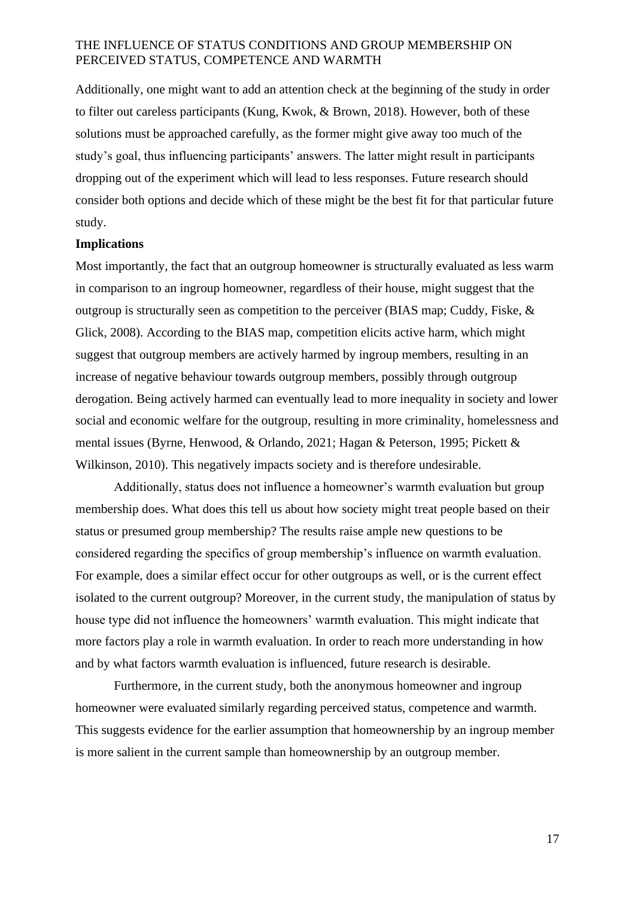Additionally, one might want to add an attention check at the beginning of the study in order to filter out careless participants (Kung, Kwok, & Brown, 2018). However, both of these solutions must be approached carefully, as the former might give away too much of the study's goal, thus influencing participants' answers. The latter might result in participants dropping out of the experiment which will lead to less responses. Future research should consider both options and decide which of these might be the best fit for that particular future study.

#### **Implications**

Most importantly, the fact that an outgroup homeowner is structurally evaluated as less warm in comparison to an ingroup homeowner, regardless of their house, might suggest that the outgroup is structurally seen as competition to the perceiver (BIAS map; Cuddy, Fiske, & Glick, 2008). According to the BIAS map, competition elicits active harm, which might suggest that outgroup members are actively harmed by ingroup members, resulting in an increase of negative behaviour towards outgroup members, possibly through outgroup derogation. Being actively harmed can eventually lead to more inequality in society and lower social and economic welfare for the outgroup, resulting in more criminality, homelessness and mental issues (Byrne, Henwood, & Orlando, 2021; Hagan & Peterson, 1995; Pickett & Wilkinson, 2010). This negatively impacts society and is therefore undesirable.

Additionally, status does not influence a homeowner's warmth evaluation but group membership does. What does this tell us about how society might treat people based on their status or presumed group membership? The results raise ample new questions to be considered regarding the specifics of group membership's influence on warmth evaluation. For example, does a similar effect occur for other outgroups as well, or is the current effect isolated to the current outgroup? Moreover, in the current study, the manipulation of status by house type did not influence the homeowners' warmth evaluation. This might indicate that more factors play a role in warmth evaluation. In order to reach more understanding in how and by what factors warmth evaluation is influenced, future research is desirable.

Furthermore, in the current study, both the anonymous homeowner and ingroup homeowner were evaluated similarly regarding perceived status, competence and warmth. This suggests evidence for the earlier assumption that homeownership by an ingroup member is more salient in the current sample than homeownership by an outgroup member.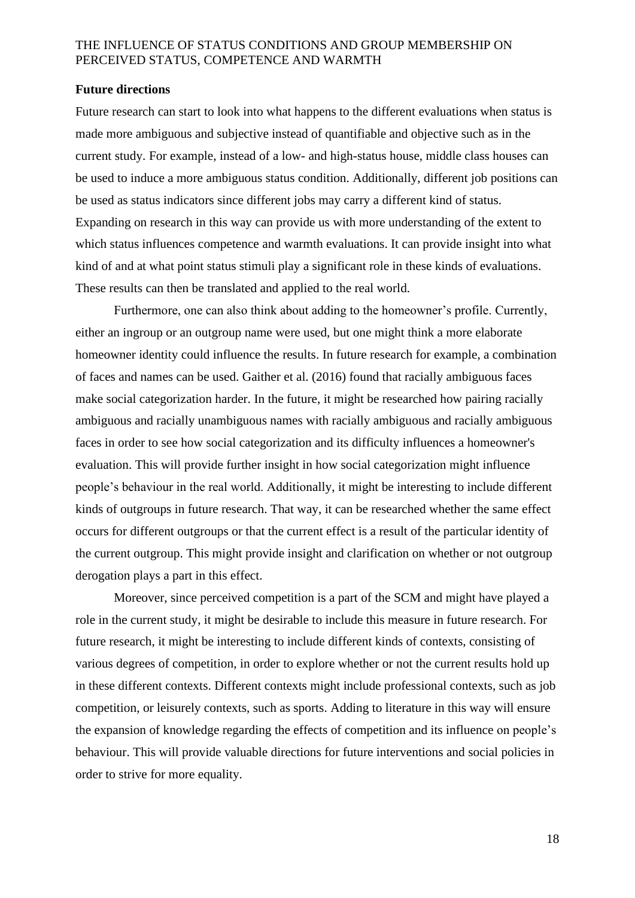#### **Future directions**

Future research can start to look into what happens to the different evaluations when status is made more ambiguous and subjective instead of quantifiable and objective such as in the current study. For example, instead of a low- and high-status house, middle class houses can be used to induce a more ambiguous status condition. Additionally, different job positions can be used as status indicators since different jobs may carry a different kind of status. Expanding on research in this way can provide us with more understanding of the extent to which status influences competence and warmth evaluations. It can provide insight into what kind of and at what point status stimuli play a significant role in these kinds of evaluations. These results can then be translated and applied to the real world.

Furthermore, one can also think about adding to the homeowner's profile. Currently, either an ingroup or an outgroup name were used, but one might think a more elaborate homeowner identity could influence the results. In future research for example, a combination of faces and names can be used. Gaither et al. (2016) found that racially ambiguous faces make social categorization harder. In the future, it might be researched how pairing racially ambiguous and racially unambiguous names with racially ambiguous and racially ambiguous faces in order to see how social categorization and its difficulty influences a homeowner's evaluation. This will provide further insight in how social categorization might influence people's behaviour in the real world. Additionally, it might be interesting to include different kinds of outgroups in future research. That way, it can be researched whether the same effect occurs for different outgroups or that the current effect is a result of the particular identity of the current outgroup. This might provide insight and clarification on whether or not outgroup derogation plays a part in this effect.

Moreover, since perceived competition is a part of the SCM and might have played a role in the current study, it might be desirable to include this measure in future research. For future research, it might be interesting to include different kinds of contexts, consisting of various degrees of competition, in order to explore whether or not the current results hold up in these different contexts. Different contexts might include professional contexts, such as job competition, or leisurely contexts, such as sports. Adding to literature in this way will ensure the expansion of knowledge regarding the effects of competition and its influence on people's behaviour. This will provide valuable directions for future interventions and social policies in order to strive for more equality.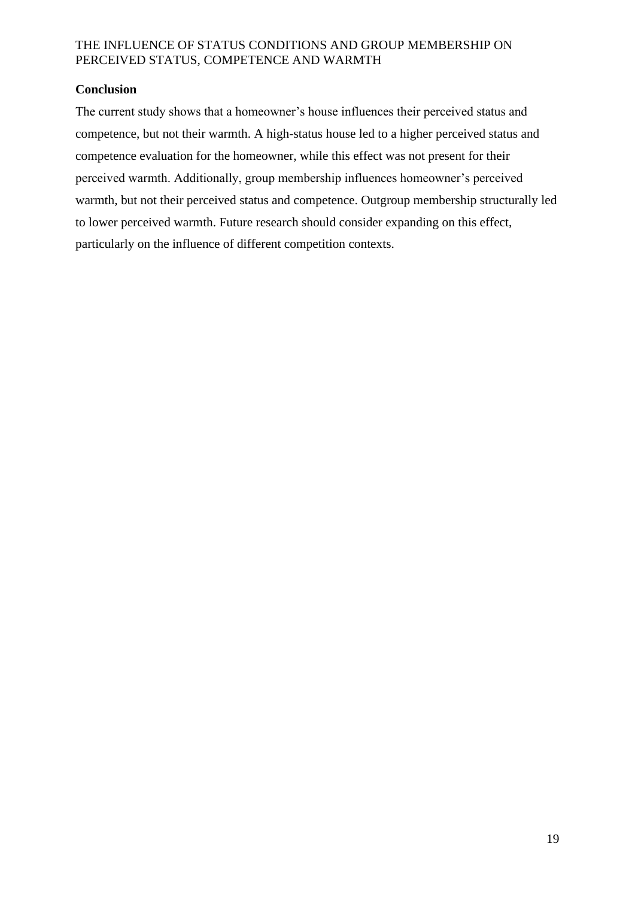# **Conclusion**

The current study shows that a homeowner's house influences their perceived status and competence, but not their warmth. A high-status house led to a higher perceived status and competence evaluation for the homeowner, while this effect was not present for their perceived warmth. Additionally, group membership influences homeowner's perceived warmth, but not their perceived status and competence. Outgroup membership structurally led to lower perceived warmth. Future research should consider expanding on this effect, particularly on the influence of different competition contexts.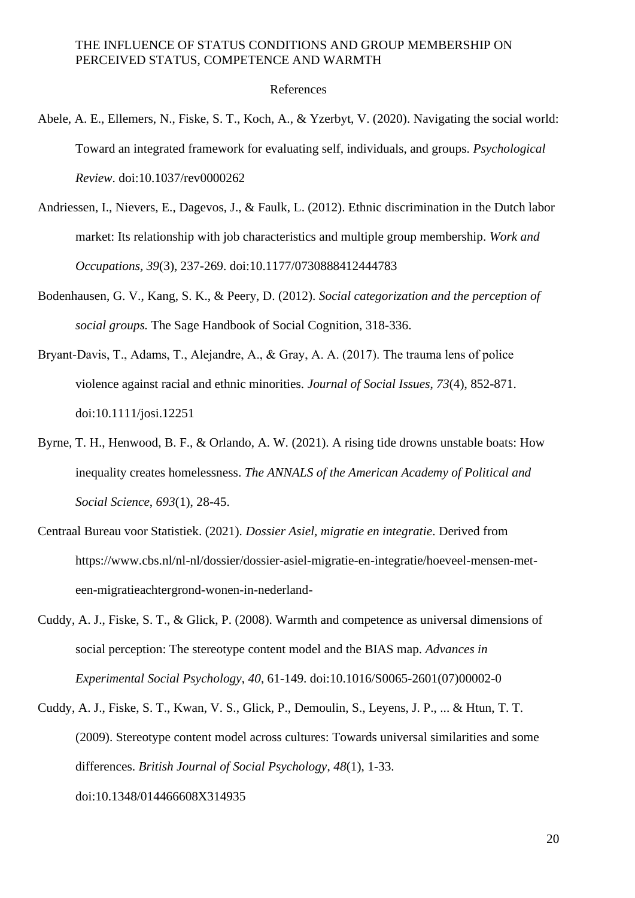#### References

- Abele, A. E., Ellemers, N., Fiske, S. T., Koch, A., & Yzerbyt, V. (2020). Navigating the social world: Toward an integrated framework for evaluating self, individuals, and groups. *Psychological Review*. doi:10.1037/rev0000262
- Andriessen, I., Nievers, E., Dagevos, J., & Faulk, L. (2012). Ethnic discrimination in the Dutch labor market: Its relationship with job characteristics and multiple group membership. *Work and Occupations, 39*(3), 237-269. doi:10.1177/0730888412444783
- Bodenhausen, G. V., Kang, S. K., & Peery, D. (2012). *Social categorization and the perception of social groups.* The Sage Handbook of Social Cognition, 318-336.
- Bryant-Davis, T., Adams, T., Alejandre, A., & Gray, A. A. (2017). The trauma lens of police violence against racial and ethnic minorities. *Journal of Social Issues*, *73*(4), 852-871. doi:10.1111/josi.12251
- Byrne, T. H., Henwood, B. F., & Orlando, A. W. (2021). A rising tide drowns unstable boats: How inequality creates homelessness. *The ANNALS of the American Academy of Political and Social Science*, *693*(1), 28-45.
- Centraal Bureau voor Statistiek. (2021). *Dossier Asiel, migratie en integratie*. Derived from https://www.cbs.nl/nl-nl/dossier/dossier-asiel-migratie-en-integratie/hoeveel-mensen-meteen-migratieachtergrond-wonen-in-nederland-
- Cuddy, A. J., Fiske, S. T., & Glick, P. (2008). Warmth and competence as universal dimensions of social perception: The stereotype content model and the BIAS map. *Advances in Experimental Social Psychology*, *40*, 61-149. doi:10.1016/S0065-2601(07)00002-0
- Cuddy, A. J., Fiske, S. T., Kwan, V. S., Glick, P., Demoulin, S., Leyens, J. P., ... & Htun, T. T. (2009). Stereotype content model across cultures: Towards universal similarities and some differences. *British Journal of Social Psychology*, *48*(1), 1-33. doi:10.1348/014466608X314935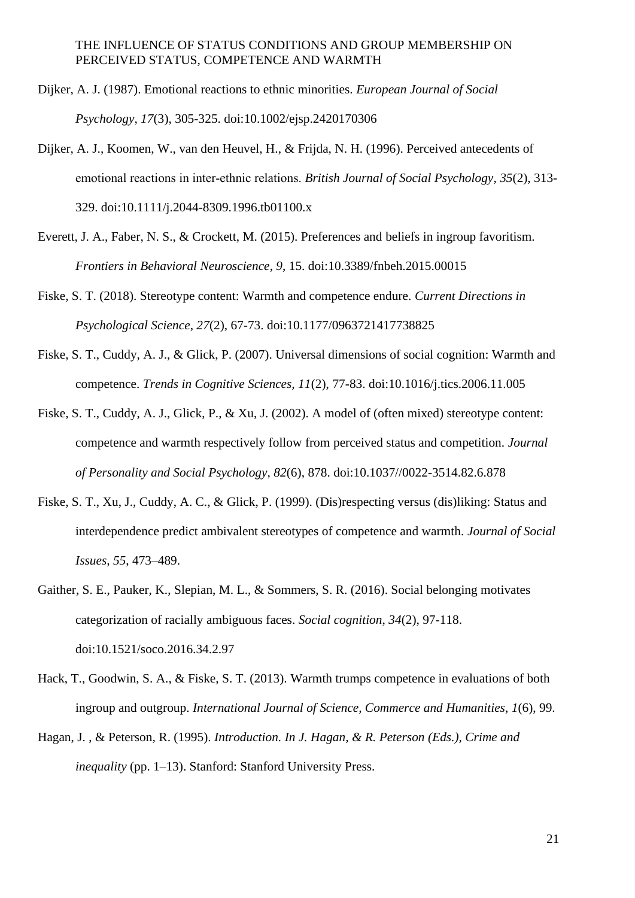- Dijker, A. J. (1987). Emotional reactions to ethnic minorities. *European Journal of Social Psychology*, *17*(3), 305-325. doi:10.1002/ejsp.2420170306
- Dijker, A. J., Koomen, W., van den Heuvel, H., & Frijda, N. H. (1996). Perceived antecedents of emotional reactions in inter‐ethnic relations. *British Journal of Social Psychology*, *35*(2), 313- 329. doi:10.1111/j.2044-8309.1996.tb01100.x
- Everett, J. A., Faber, N. S., & Crockett, M. (2015). Preferences and beliefs in ingroup favoritism. *Frontiers in Behavioral Neuroscience*, *9*, 15. doi:10.3389/fnbeh.2015.00015
- Fiske, S. T. (2018). Stereotype content: Warmth and competence endure. *Current Directions in Psychological Science*, *27*(2), 67-73. doi:10.1177/0963721417738825
- Fiske, S. T., Cuddy, A. J., & Glick, P. (2007). Universal dimensions of social cognition: Warmth and competence. *Trends in Cognitive Sciences, 11*(2), 77-83. doi:10.1016/j.tics.2006.11.005
- Fiske, S. T., Cuddy, A. J., Glick, P., & Xu, J. (2002). A model of (often mixed) stereotype content: competence and warmth respectively follow from perceived status and competition. *Journal of Personality and Social Psychology*, *82*(6), 878. doi:10.1037//0022-3514.82.6.878
- Fiske, S. T., Xu, J., Cuddy, A. C., & Glick, P. (1999). (Dis)respecting versus (dis)liking: Status and interdependence predict ambivalent stereotypes of competence and warmth. *Journal of Social Issues, 55*, 473–489.
- Gaither, S. E., Pauker, K., Slepian, M. L., & Sommers, S. R. (2016). Social belonging motivates categorization of racially ambiguous faces. *Social cognition*, *34*(2), 97-118. doi:10.1521/soco.2016.34.2.97
- Hack, T., Goodwin, S. A., & Fiske, S. T. (2013). Warmth trumps competence in evaluations of both ingroup and outgroup. *International Journal of Science, Commerce and Humanities*, *1*(6), 99.
- Hagan, J. , & Peterson, R. (1995). *Introduction. In J. Hagan, & R. Peterson (Eds.), Crime and inequality* (pp. 1–13). Stanford: Stanford University Press.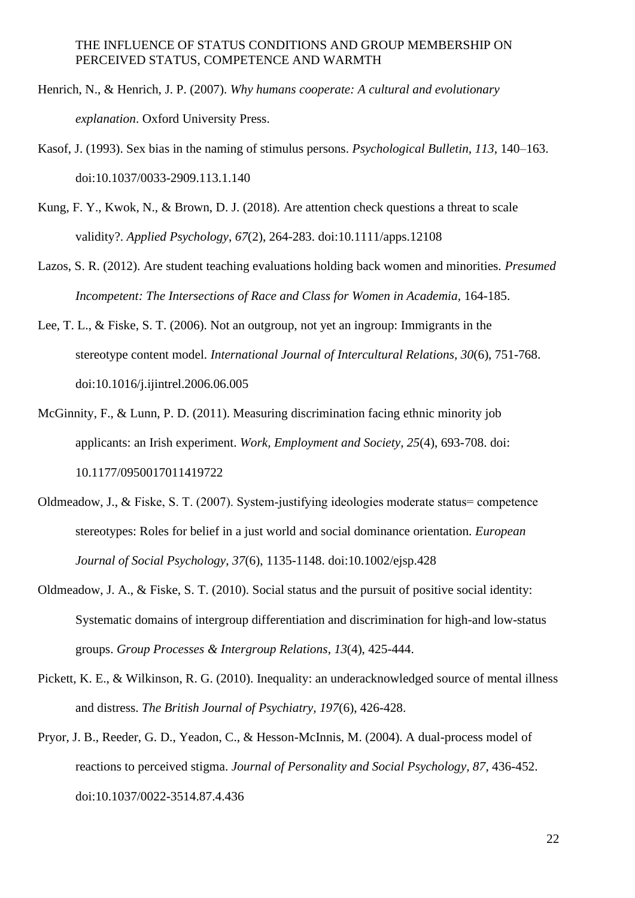- Henrich, N., & Henrich, J. P. (2007). *Why humans cooperate: A cultural and evolutionary explanation*. Oxford University Press.
- Kasof, J. (1993). Sex bias in the naming of stimulus persons. *Psychological Bulletin, 113*, 140–163. doi:10.1037/0033-2909.113.1.140
- Kung, F. Y., Kwok, N., & Brown, D. J. (2018). Are attention check questions a threat to scale validity?. *Applied Psychology*, *67*(2), 264-283. doi:10.1111/apps.12108
- Lazos, S. R. (2012). Are student teaching evaluations holding back women and minorities. *Presumed Incompetent: The Intersections of Race and Class for Women in Academia,* 164-185.
- Lee, T. L., & Fiske, S. T. (2006). Not an outgroup, not yet an ingroup: Immigrants in the stereotype content model. *International Journal of Intercultural Relations, 30*(6), 751-768. doi:10.1016/j.ijintrel.2006.06.005
- McGinnity, F., & Lunn, P. D. (2011). Measuring discrimination facing ethnic minority job applicants: an Irish experiment. *Work, Employment and Society, 25*(4), 693-708. doi: 10.1177/0950017011419722
- Oldmeadow, J., & Fiske, S. T. (2007). System‐justifying ideologies moderate status= competence stereotypes: Roles for belief in a just world and social dominance orientation. *European Journal of Social Psychology*, *37*(6), 1135-1148. doi:10.1002/ejsp.428
- Oldmeadow, J. A., & Fiske, S. T. (2010). Social status and the pursuit of positive social identity: Systematic domains of intergroup differentiation and discrimination for high-and low-status groups. *Group Processes & Intergroup Relations*, *13*(4), 425-444.
- Pickett, K. E., & Wilkinson, R. G. (2010). Inequality: an underacknowledged source of mental illness and distress. *The British Journal of Psychiatry, 197*(6), 426-428.
- Pryor, J. B., Reeder, G. D., Yeadon, C., & Hesson-McInnis, M. (2004). A dual-process model of reactions to perceived stigma. *Journal of Personality and Social Psychology, 87*, 436-452. doi:10.1037/0022-3514.87.4.436